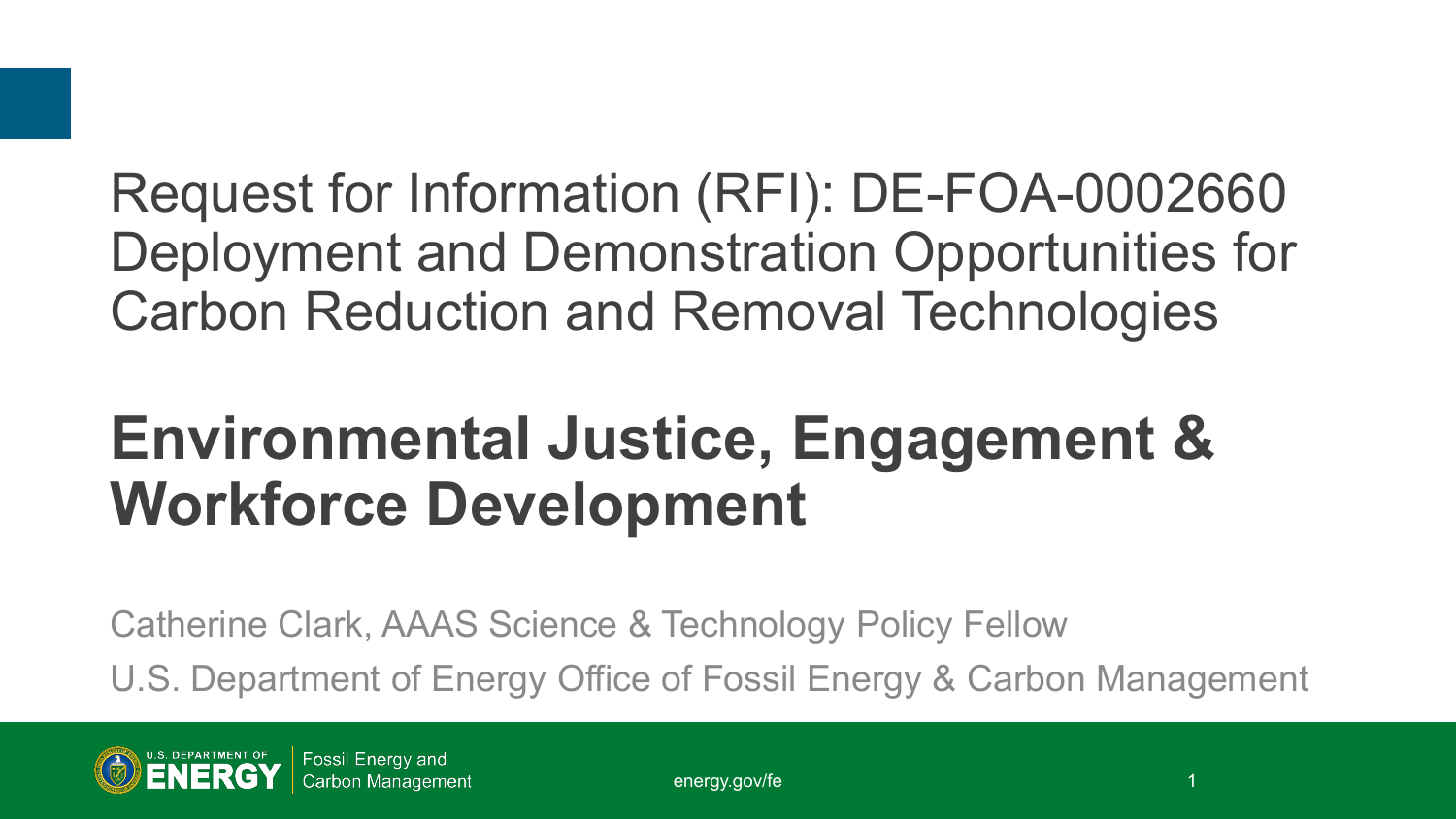### Request for Information (RFI): DE-FOA-0002660 Deployment and Demonstration Opportunities for Carbon Reduction and Removal Technologies

## **Environmental Justice, Engagement & Workforce Development**

Catherine Clark, AAAS Science & Technology Policy Fellow U.S. Department of Energy Office of Fossil Energy & Carbon Management

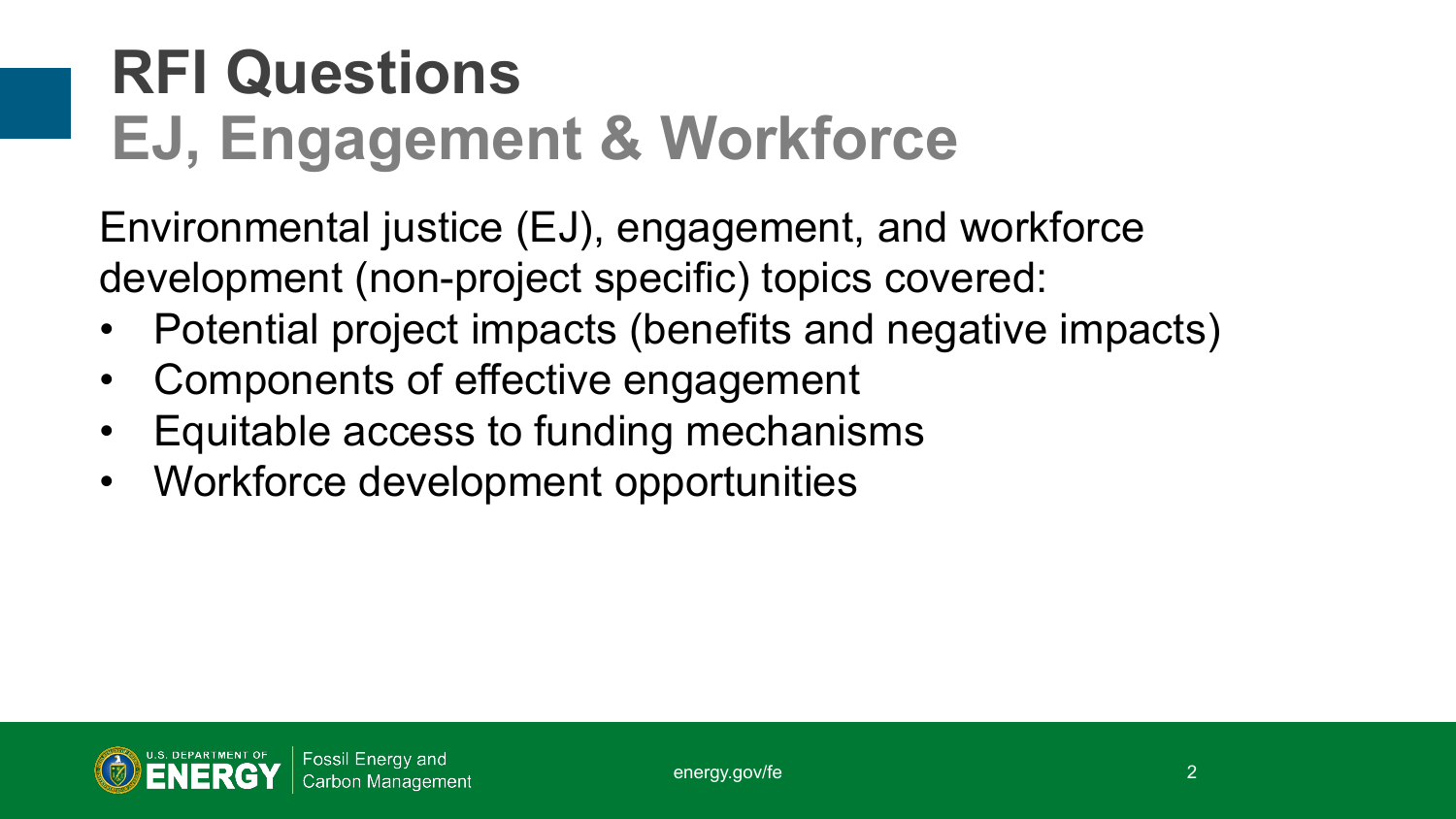# **RFI Questions EJ, Engagement & Workforce**

Environmental justice (EJ), engagement, and workforce development (non-project specific) topics covered:

- Potential project impacts (benefits and negative impacts)
- Components of effective engagement
- Equitable access to funding mechanisms
- Workforce development opportunities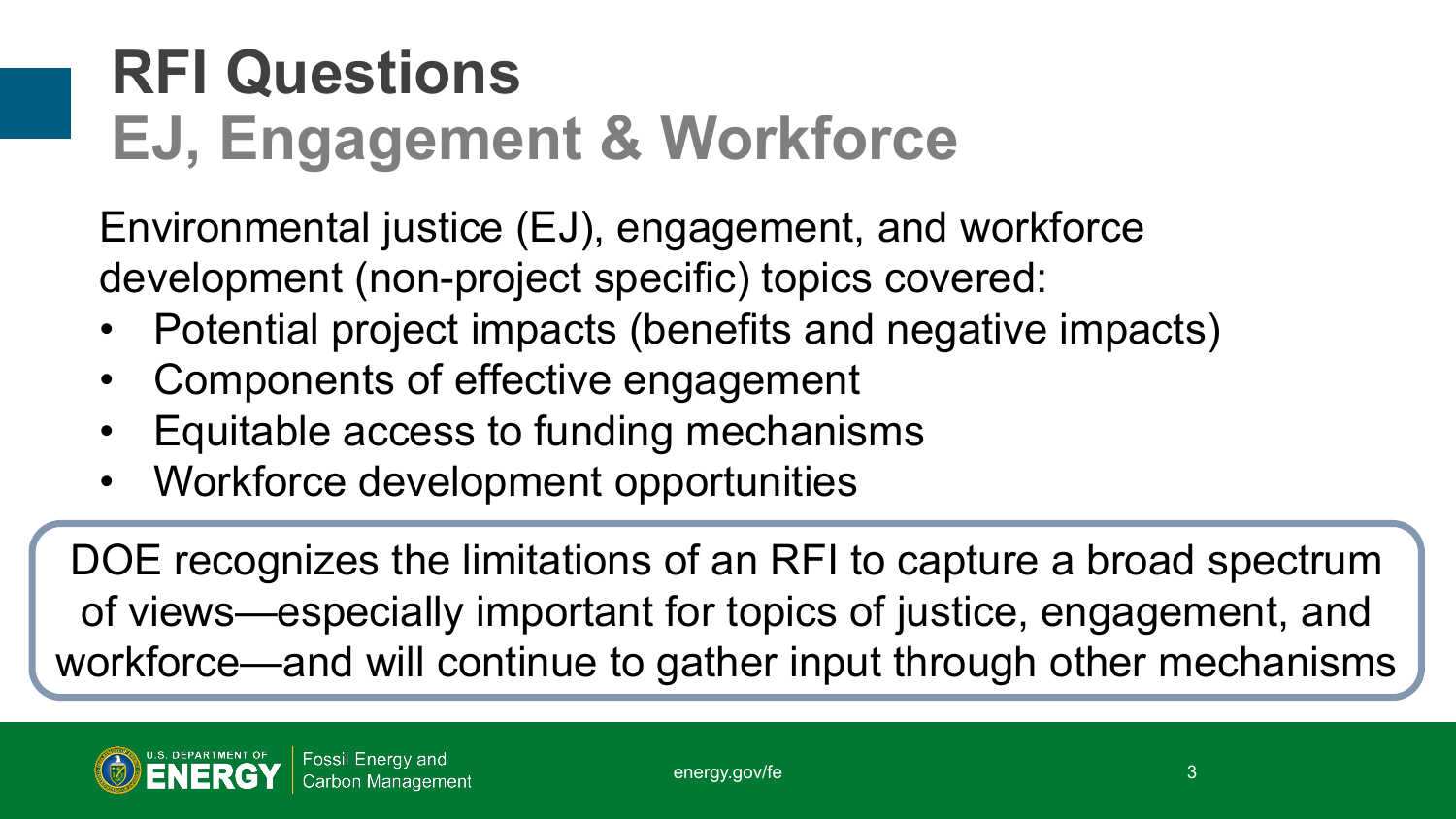# **RFI Questions EJ, Engagement & Workforce**

Environmental justice (EJ), engagement, and workforce development (non-project specific) topics covered:

- Potential project impacts (benefits and negative impacts)
- Components of effective engagement
- Equitable access to funding mechanisms
- Workforce development opportunities

DOE recognizes the limitations of an RFI to capture a broad spectrum of views—especially important for topics of justice, engagement, and workforce—and will continue to gather input through other mechanisms

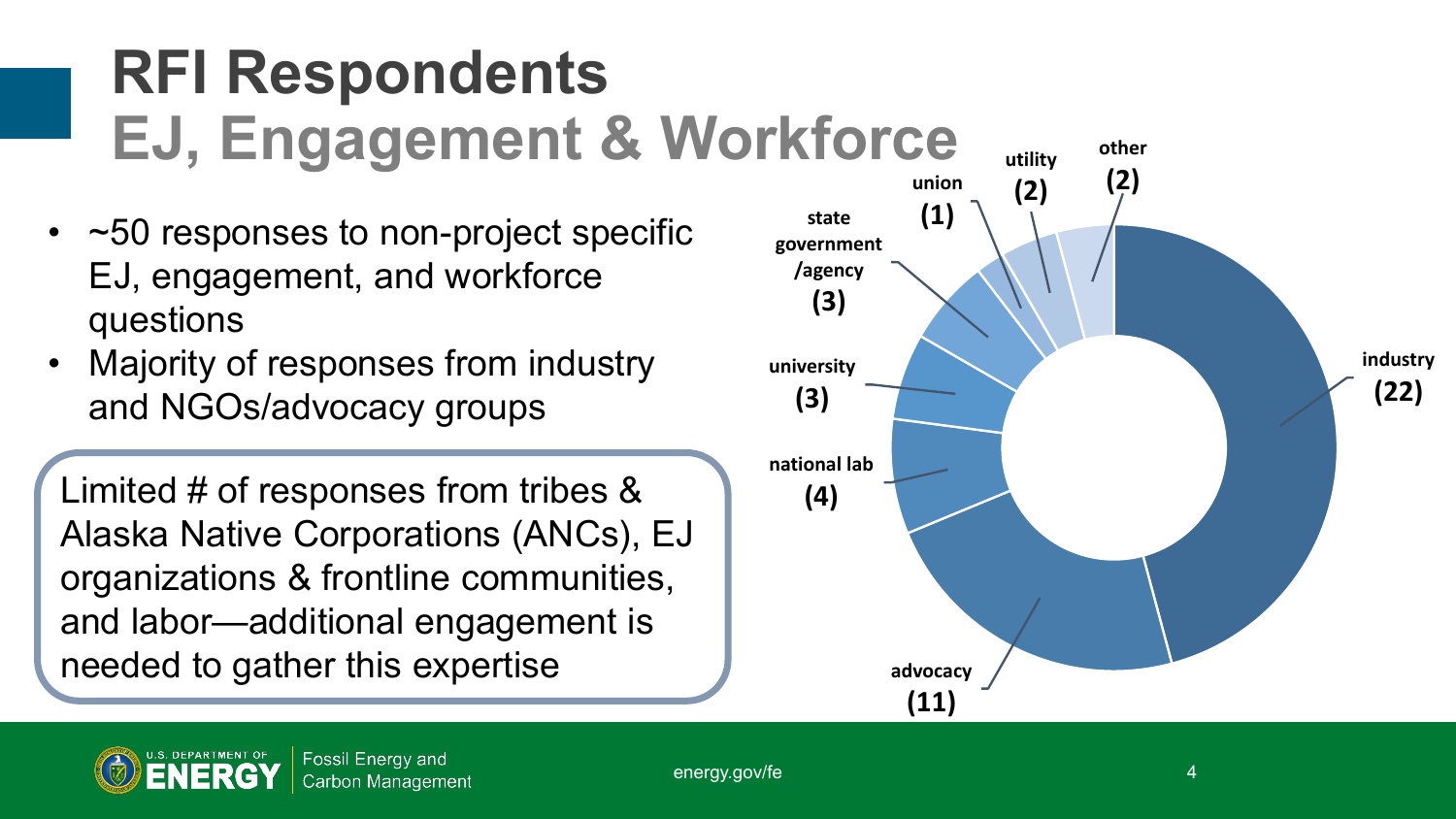# **RFI Respondents EJ, Engagement & Workforce**

- ~50 responses to non-project specific EJ, engagement, and workforce questions
- Majority of responses from industry and NGOs/advocacy groups

Limited # of responses from tribes & Alaska Native Corporations (ANCs), EJ organizations & frontline communities, and labor—additional engagement is needed to gather this expertise



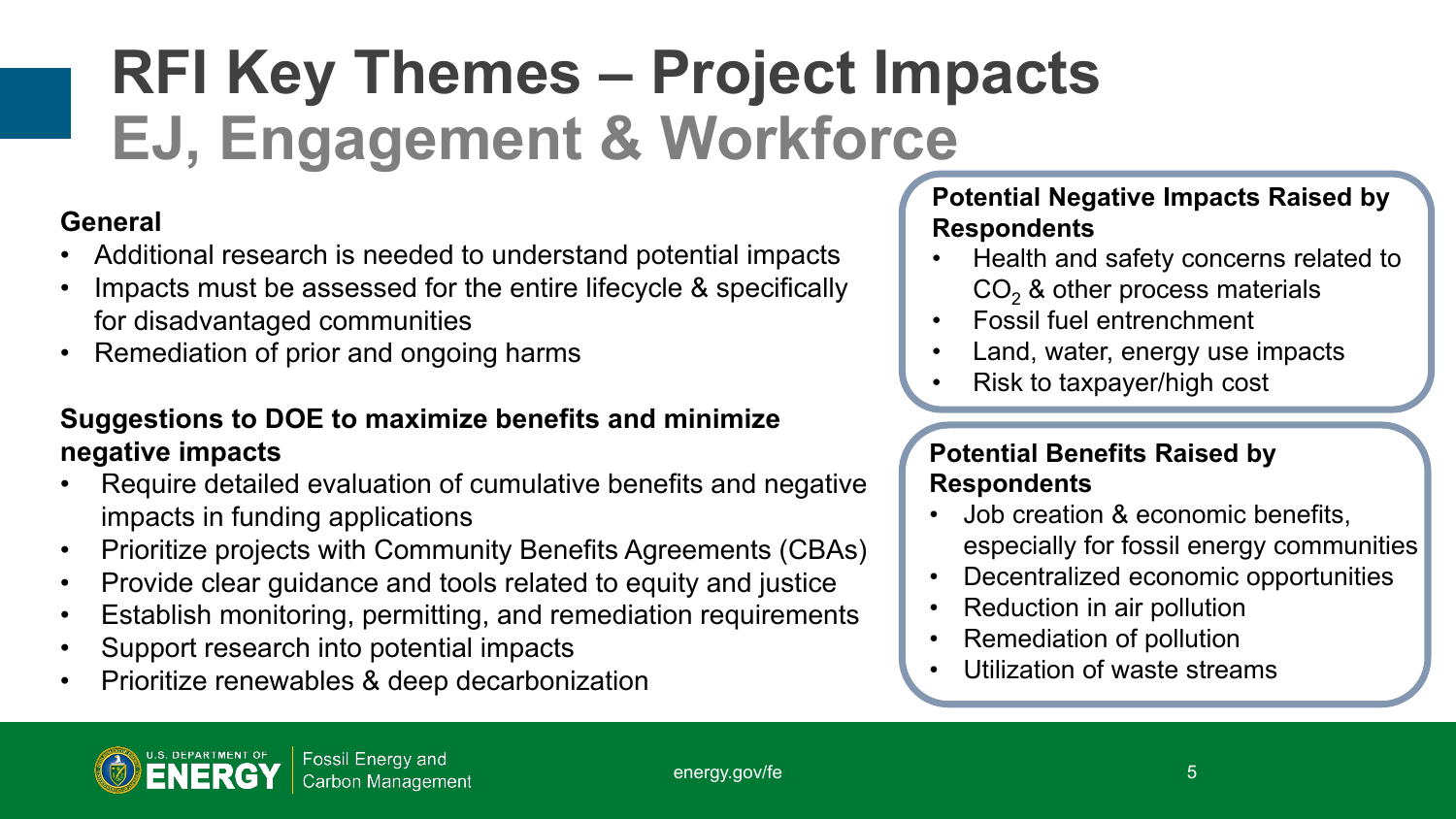# **RFI Key Themes – Project Impacts EJ, Engagement & Workforce**

### **General**

- Additional research is needed to understand potential impacts
- Impacts must be assessed for the entire lifecycle & specifically for disadvantaged communities
- Remediation of prior and ongoing harms

#### **Suggestions to DOE to maximize benefits and minimize negative impacts**

- Require detailed evaluation of cumulative benefits and negative impacts in funding applications
- Prioritize projects with Community Benefits Agreements (CBAs)
- Provide clear guidance and tools related to equity and justice
- Establish monitoring, permitting, and remediation requirements
- Support research into potential impacts
- Prioritize renewables & deep decarbonization

#### **Potential Negative Impacts Raised by Respondents**

- Health and safety concerns related to  $CO<sub>2</sub>$  & other process materials
- Fossil fuel entrenchment
- Land, water, energy use impacts
- Risk to taxpayer/high cost

#### **Potential Benefits Raised by Respondents**

- Job creation & economic benefits, especially for fossil energy communities
- Decentralized economic opportunities
- Reduction in air pollution
- Remediation of pollution
- Utilization of waste streams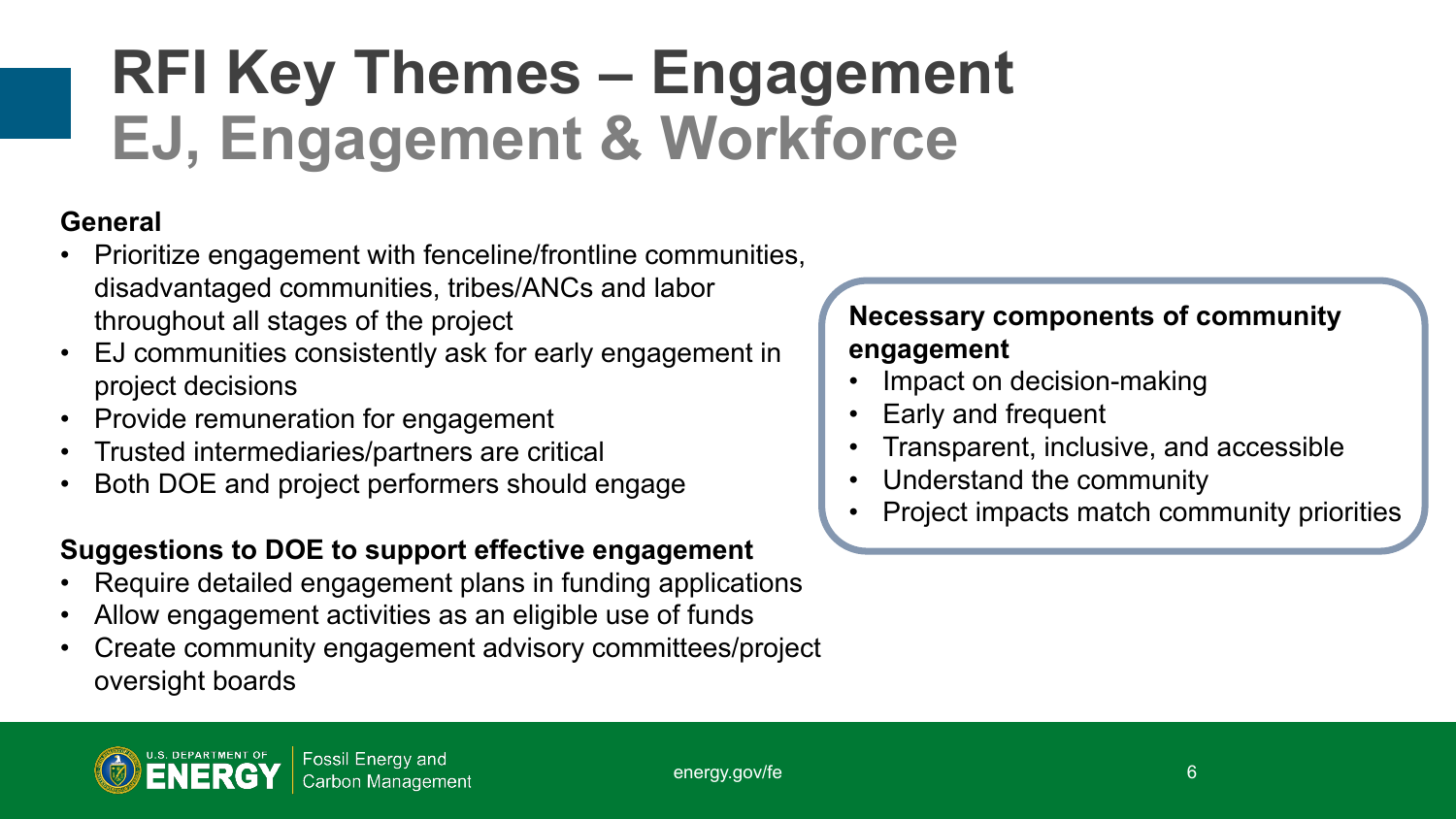# **RFI Key Themes – Engagement EJ, Engagement & Workforce**

### **General**

- Prioritize engagement with fenceline/frontline communities, disadvantaged communities, tribes/ANCs and labor throughout all stages of the project
- EJ communities consistently ask for early engagement in project decisions
- Provide remuneration for engagement
- Trusted intermediaries/partners are critical
- Both DOE and project performers should engage

### **Suggestions to DOE to support effective engagement**

- Require detailed engagement plans in funding applications
- Allow engagement activities as an eligible use of funds
- Create community engagement advisory committees/project oversight boards

### **Necessary components of community engagement**

- Impact on decision-making
- Early and frequent
- Transparent, inclusive, and accessible
- Understand the community
- Project impacts match community priorities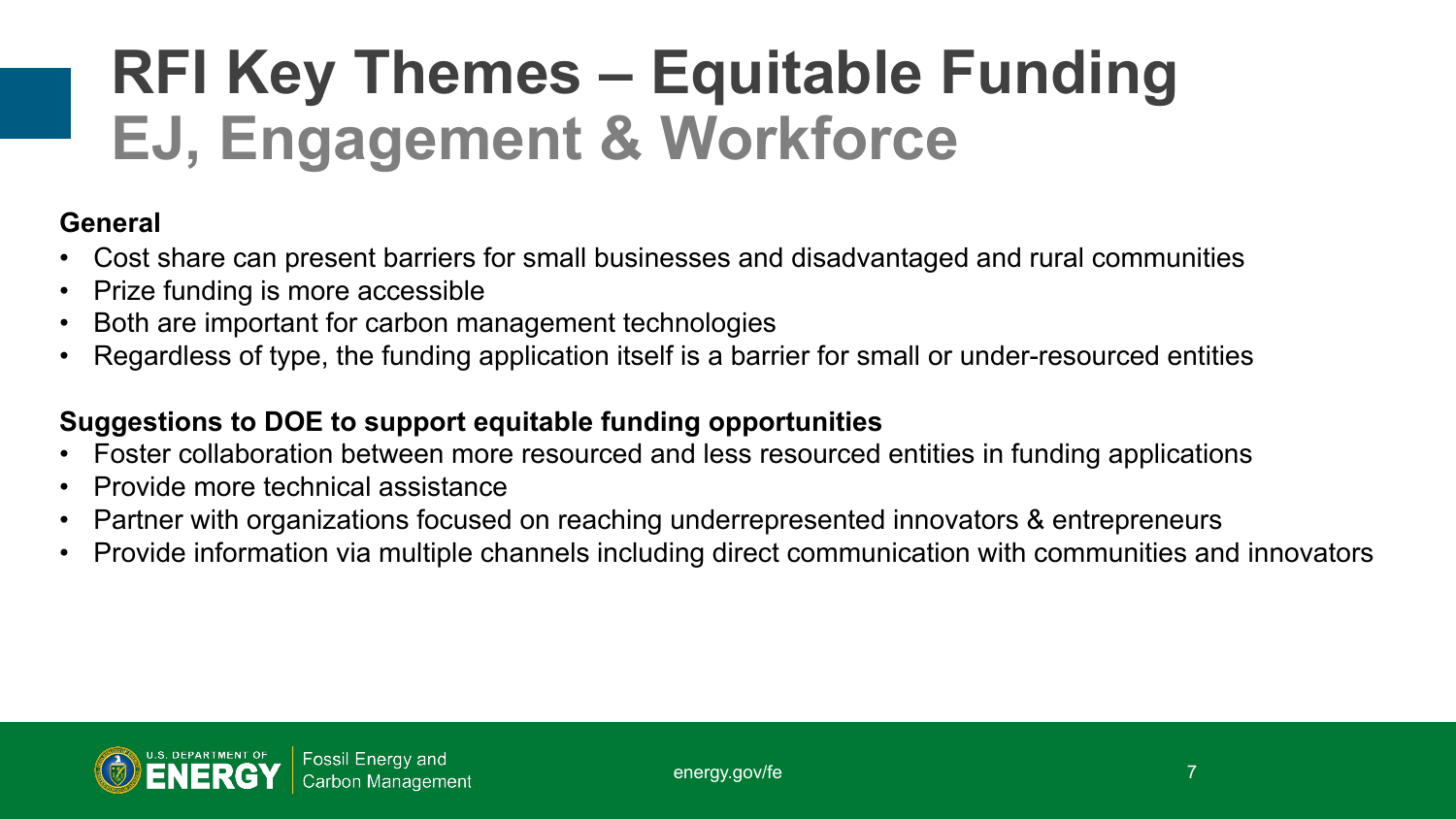# **RFI Key Themes – Equitable Funding EJ, Engagement & Workforce**

#### **General**

- Cost share can present barriers for small businesses and disadvantaged and rural communities
- Prize funding is more accessible
- Both are important for carbon management technologies
- Regardless of type, the funding application itself is a barrier for small or under-resourced entities

### **Suggestions to DOE to support equitable funding opportunities**

- Foster collaboration between more resourced and less resourced entities in funding applications
- Provide more technical assistance
- Partner with organizations focused on reaching underrepresented innovators & entrepreneurs
- Provide information via multiple channels including direct communication with communities and innovators